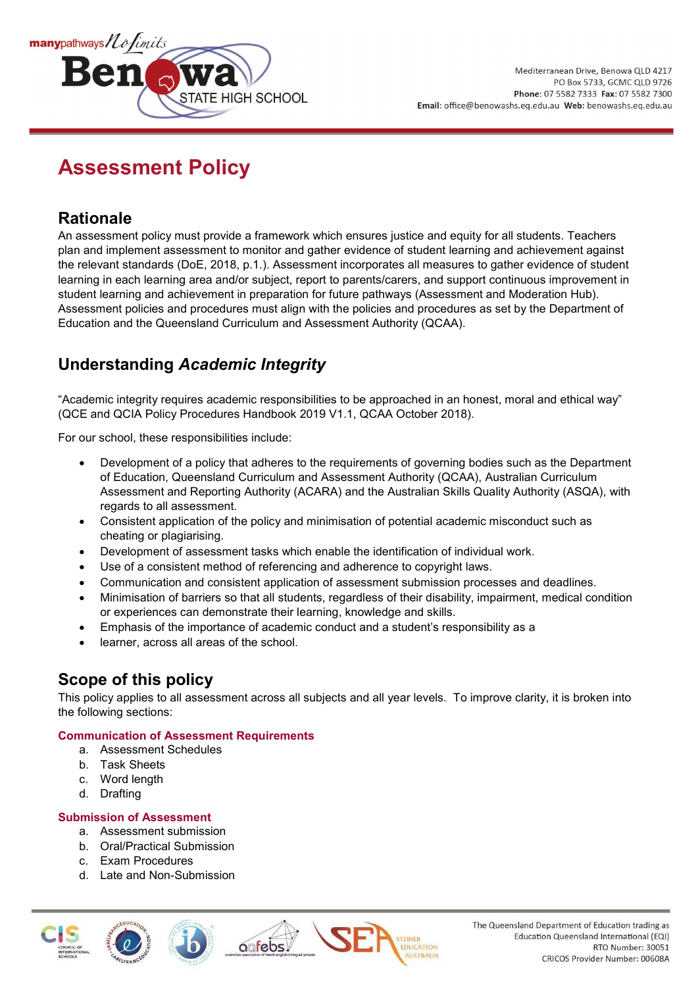

# **Assessment Policy**

## **Rationale**

An assessment policy must provide a framework which ensures justice and equity for all students. Teachers plan and implement assessment to monitor and gather evidence of student learning and achievement against the relevant standards (DoE, 2018, p.1.). Assessment incorporates all measures to gather evidence of student learning in each learning area and/or subject, report to parents/carers, and support continuous improvement in student learning and achievement in preparation for future pathways (Assessment and Moderation Hub). Assessment policies and procedures must align with the policies and procedures as set by the Department of Education and the Queensland Curriculum and Assessment Authority (QCAA).

## **Understanding** *Academic Integrity*

"Academic integrity requires academic responsibilities to be approached in an honest, moral and ethical way" (QCE and QCIA Policy Procedures Handbook 2019 V1.1, QCAA October 2018).

For our school, these responsibilities include:

- Development of a policy that adheres to the requirements of governing bodies such as the Department of Education, Queensland Curriculum and Assessment Authority (QCAA), Australian Curriculum Assessment and Reporting Authority (ACARA) and the Australian Skills Quality Authority (ASQA), with regards to all assessment.
- Consistent application of the policy and minimisation of potential academic misconduct such as cheating or plagiarising.
- Development of assessment tasks which enable the identification of individual work.
- Use of a consistent method of referencing and adherence to copyright laws.

oofebs

- Communication and consistent application of assessment submission processes and deadlines.
- Minimisation of barriers so that all students, regardless of their disability, impairment, medical condition or experiences can demonstrate their learning, knowledge and skills.
- Emphasis of the importance of academic conduct and a student's responsibility as a
- learner, across all areas of the school.

### **Scope of this policy**

This policy applies to all assessment across all subjects and all year levels. To improve clarity, it is broken into the following sections:

#### **Communication of Assessment Requirements**

- a. Assessment Schedules
- b. Task Sheets
- c. Word length
- d. Drafting

#### **Submission of Assessment**

- a. Assessment submission
- b. Oral/Practical Submission
- c. Exam Procedures
- d. Late and Non-Submission



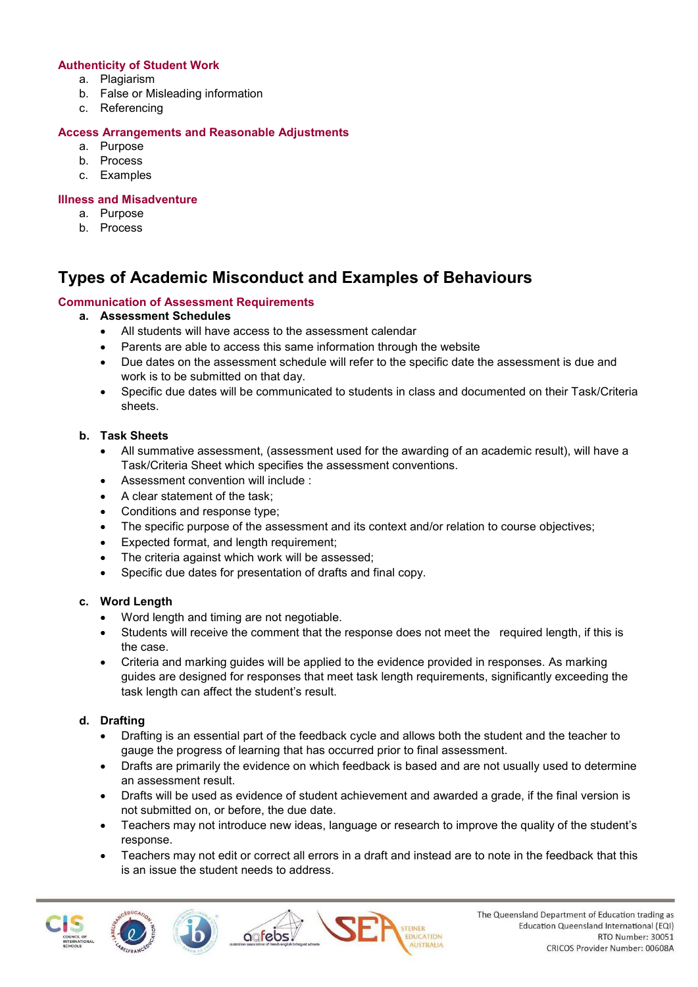#### **Authenticity of Student Work**

- a. Plagiarism
- b. False or Misleading information
- c. Referencing

#### **Access Arrangements and Reasonable Adjustments**

- a. Purpose
- b. Process
- c. Examples

#### **Illness and Misadventure**

- a. Purpose
- b. Process

## **Types of Academic Misconduct and Examples of Behaviours**

#### **Communication of Assessment Requirements**

#### **a. Assessment Schedules**

- All students will have access to the assessment calendar
- Parents are able to access this same information through the website
- Due dates on the assessment schedule will refer to the specific date the assessment is due and work is to be submitted on that day.
- Specific due dates will be communicated to students in class and documented on their Task/Criteria sheets.

#### **b. Task Sheets**

- All summative assessment, (assessment used for the awarding of an academic result), will have a Task/Criteria Sheet which specifies the assessment conventions.
- Assessment convention will include :
- A clear statement of the task;
- Conditions and response type;
- The specific purpose of the assessment and its context and/or relation to course objectives;
- Expected format, and length requirement;
- The criteria against which work will be assessed;
- Specific due dates for presentation of drafts and final copy.

#### **c. Word Length**

- Word length and timing are not negotiable.
- Students will receive the comment that the response does not meet the required length, if this is the case.
- Criteria and marking guides will be applied to the evidence provided in responses. As marking guides are designed for responses that meet task length requirements, significantly exceeding the task length can affect the student's result.

#### **d. Drafting**

- Drafting is an essential part of the feedback cycle and allows both the student and the teacher to gauge the progress of learning that has occurred prior to final assessment.
- Drafts are primarily the evidence on which feedback is based and are not usually used to determine an assessment result.
- Drafts will be used as evidence of student achievement and awarded a grade, if the final version is not submitted on, or before, the due date.
- Teachers may not introduce new ideas, language or research to improve the quality of the student's response.
- Teachers may not edit or correct all errors in a draft and instead are to note in the feedback that this is an issue the student needs to address.





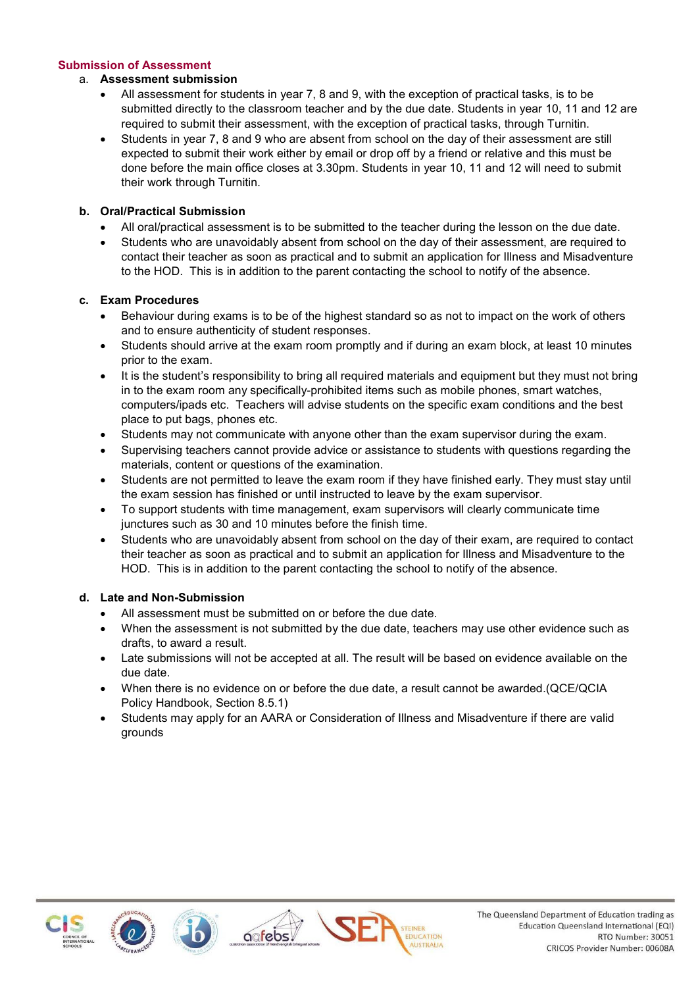#### **Submission of Assessment**

#### a. **Assessment submission**

- All assessment for students in year 7, 8 and 9, with the exception of practical tasks, is to be submitted directly to the classroom teacher and by the due date. Students in year 10, 11 and 12 are required to submit their assessment, with the exception of practical tasks, through Turnitin.
- Students in year 7, 8 and 9 who are absent from school on the day of their assessment are still expected to submit their work either by email or drop off by a friend or relative and this must be done before the main office closes at 3.30pm. Students in year 10, 11 and 12 will need to submit their work through Turnitin.

#### **b. Oral/Practical Submission**

- All oral/practical assessment is to be submitted to the teacher during the lesson on the due date.
- Students who are unavoidably absent from school on the day of their assessment, are required to contact their teacher as soon as practical and to submit an application for Illness and Misadventure to the HOD. This is in addition to the parent contacting the school to notify of the absence.

#### **c. Exam Procedures**

- Behaviour during exams is to be of the highest standard so as not to impact on the work of others and to ensure authenticity of student responses.
- Students should arrive at the exam room promptly and if during an exam block, at least 10 minutes prior to the exam.
- It is the student's responsibility to bring all required materials and equipment but they must not bring in to the exam room any specifically-prohibited items such as mobile phones, smart watches, computers/ipads etc. Teachers will advise students on the specific exam conditions and the best place to put bags, phones etc.
- Students may not communicate with anyone other than the exam supervisor during the exam.
- Supervising teachers cannot provide advice or assistance to students with questions regarding the materials, content or questions of the examination.
- Students are not permitted to leave the exam room if they have finished early. They must stay until the exam session has finished or until instructed to leave by the exam supervisor.
- To support students with time management, exam supervisors will clearly communicate time junctures such as 30 and 10 minutes before the finish time.
- Students who are unavoidably absent from school on the day of their exam, are required to contact their teacher as soon as practical and to submit an application for Illness and Misadventure to the HOD. This is in addition to the parent contacting the school to notify of the absence.

#### **d. Late and Non-Submission**

- All assessment must be submitted on or before the due date.
- When the assessment is not submitted by the due date, teachers may use other evidence such as drafts, to award a result.
- Late submissions will not be accepted at all. The result will be based on evidence available on the due date.
- When there is no evidence on or before the due date, a result cannot be awarded.(QCE/QCIA Policy Handbook, Section 8.5.1)
- Students may apply for an AARA or Consideration of Illness and Misadventure if there are valid grounds

**EDUCATION** 







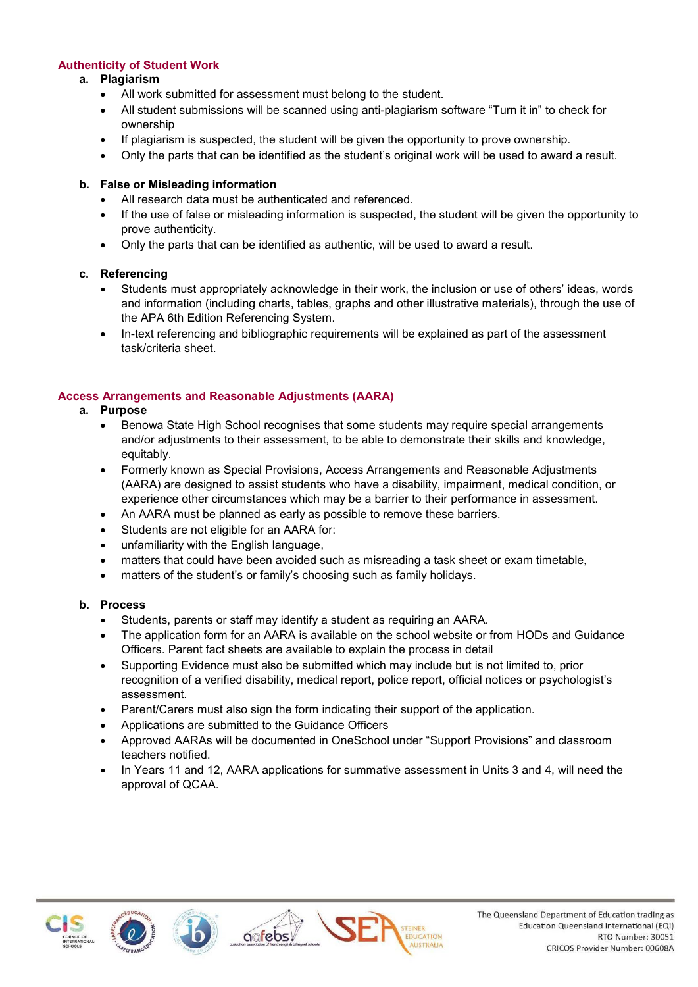#### **Authenticity of Student Work**

#### **a. Plagiarism**

- All work submitted for assessment must belong to the student.
- All student submissions will be scanned using anti-plagiarism software "Turn it in" to check for ownership
- If plagiarism is suspected, the student will be given the opportunity to prove ownership.
- Only the parts that can be identified as the student's original work will be used to award a result.

#### **b. False or Misleading information**

- All research data must be authenticated and referenced.
- If the use of false or misleading information is suspected, the student will be given the opportunity to prove authenticity.
- Only the parts that can be identified as authentic, will be used to award a result.

#### **c. Referencing**

- Students must appropriately acknowledge in their work, the inclusion or use of others' ideas, words and information (including charts, tables, graphs and other illustrative materials), through the use of the APA 6th Edition Referencing System.
- In-text referencing and bibliographic requirements will be explained as part of the assessment task/criteria sheet.

#### **Access Arrangements and Reasonable Adjustments (AARA)**

#### **a. Purpose**

- Benowa State High School recognises that some students may require special arrangements and/or adjustments to their assessment, to be able to demonstrate their skills and knowledge, equitably.
- Formerly known as Special Provisions, Access Arrangements and Reasonable Adjustments (AARA) are designed to assist students who have a disability, impairment, medical condition, or experience other circumstances which may be a barrier to their performance in assessment.
- An AARA must be planned as early as possible to remove these barriers.
- Students are not eligible for an AARA for:
- unfamiliarity with the English language,
- matters that could have been avoided such as misreading a task sheet or exam timetable,
- matters of the student's or family's choosing such as family holidays.

#### **b. Process**

- Students, parents or staff may identify a student as requiring an AARA.
- The application form for an AARA is available on the school website or from HODs and Guidance Officers. Parent fact sheets are available to explain the process in detail
- Supporting Evidence must also be submitted which may include but is not limited to, prior recognition of a verified disability, medical report, police report, official notices or psychologist's assessment.
- Parent/Carers must also sign the form indicating their support of the application.
- Applications are submitted to the Guidance Officers
- Approved AARAs will be documented in OneSchool under "Support Provisions" and classroom teachers notified.
- In Years 11 and 12, AARA applications for summative assessment in Units 3 and 4, will need the approval of QCAA.





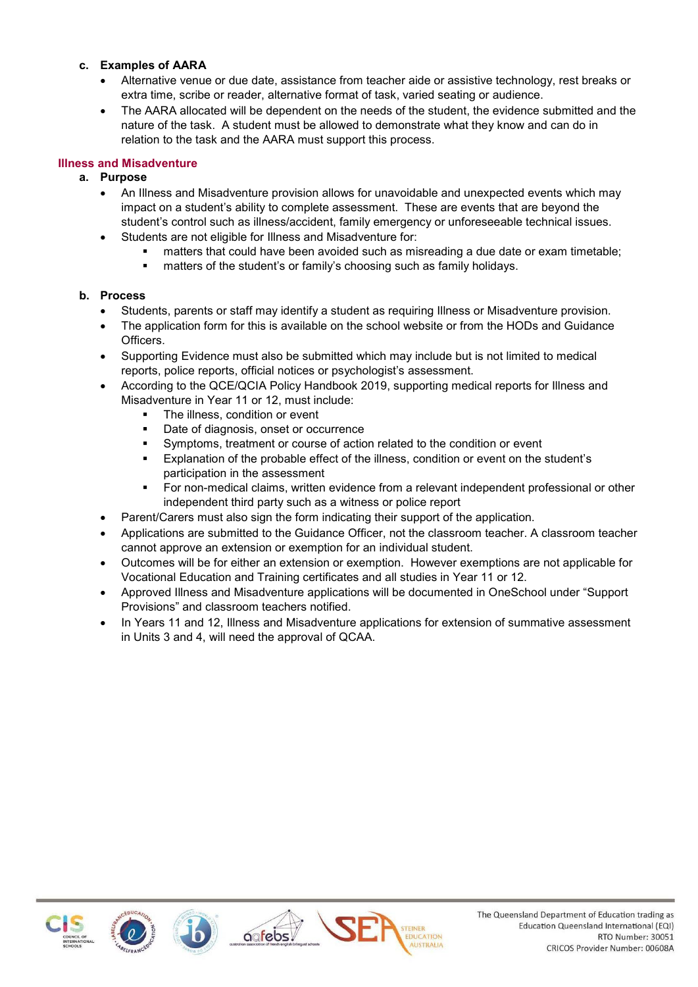#### **c. Examples of AARA**

- Alternative venue or due date, assistance from teacher aide or assistive technology, rest breaks or extra time, scribe or reader, alternative format of task, varied seating or audience.
- The AARA allocated will be dependent on the needs of the student, the evidence submitted and the nature of the task. A student must be allowed to demonstrate what they know and can do in relation to the task and the AARA must support this process.

#### **Illness and Misadventure**

#### **a. Purpose**

- An Illness and Misadventure provision allows for unavoidable and unexpected events which may impact on a student's ability to complete assessment. These are events that are beyond the student's control such as illness/accident, family emergency or unforeseeable technical issues.
- Students are not eligible for Illness and Misadventure for:
	- matters that could have been avoided such as misreading a due date or exam timetable;
	- **EXECT** matters of the student's or family's choosing such as family holidays.

#### **b. Process**

- Students, parents or staff may identify a student as requiring Illness or Misadventure provision.
- The application form for this is available on the school website or from the HODs and Guidance Officers.
- Supporting Evidence must also be submitted which may include but is not limited to medical reports, police reports, official notices or psychologist's assessment.
- According to the QCE/QCIA Policy Handbook 2019, supporting medical reports for Illness and Misadventure in Year 11 or 12, must include:
	- The illness, condition or event
	- Date of diagnosis, onset or occurrence
	- Symptoms, treatment or course of action related to the condition or event
	- Explanation of the probable effect of the illness, condition or event on the student's participation in the assessment
	- For non-medical claims, written evidence from a relevant independent professional or other independent third party such as a witness or police report
- Parent/Carers must also sign the form indicating their support of the application.
- Applications are submitted to the Guidance Officer, not the classroom teacher. A classroom teacher cannot approve an extension or exemption for an individual student.
- Outcomes will be for either an extension or exemption. However exemptions are not applicable for Vocational Education and Training certificates and all studies in Year 11 or 12.
- Approved Illness and Misadventure applications will be documented in OneSchool under "Support Provisions" and classroom teachers notified.
- In Years 11 and 12, Illness and Misadventure applications for extension of summative assessment in Units 3 and 4, will need the approval of QCAA.

**EDUCATION** 







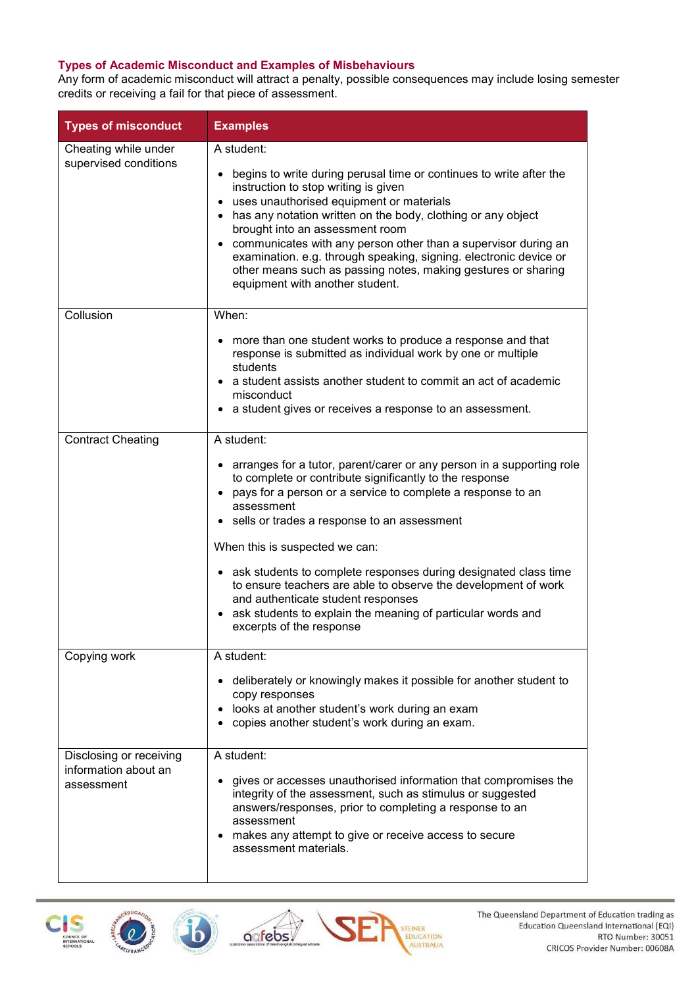#### **Types of Academic Misconduct and Examples of Misbehaviours**

Any form of academic misconduct will attract a penalty, possible consequences may include losing semester credits or receiving a fail for that piece of assessment.

| <b>Types of misconduct</b>                                    | <b>Examples</b>                                                                                                                                                                                                                                                                                                                                                                                                                                                                                                                                                                                       |
|---------------------------------------------------------------|-------------------------------------------------------------------------------------------------------------------------------------------------------------------------------------------------------------------------------------------------------------------------------------------------------------------------------------------------------------------------------------------------------------------------------------------------------------------------------------------------------------------------------------------------------------------------------------------------------|
| Cheating while under<br>supervised conditions                 | A student:<br>begins to write during perusal time or continues to write after the<br>٠<br>instruction to stop writing is given<br>uses unauthorised equipment or materials<br>$\bullet$<br>• has any notation written on the body, clothing or any object<br>brought into an assessment room<br>• communicates with any person other than a supervisor during an<br>examination. e.g. through speaking, signing. electronic device or<br>other means such as passing notes, making gestures or sharing<br>equipment with another student.                                                             |
| Collusion                                                     | When:<br>more than one student works to produce a response and that<br>response is submitted as individual work by one or multiple<br>students<br>• a student assists another student to commit an act of academic<br>misconduct<br>a student gives or receives a response to an assessment.                                                                                                                                                                                                                                                                                                          |
| <b>Contract Cheating</b>                                      | A student:<br>• arranges for a tutor, parent/carer or any person in a supporting role<br>to complete or contribute significantly to the response<br>pays for a person or a service to complete a response to an<br>$\bullet$<br>assessment<br>• sells or trades a response to an assessment<br>When this is suspected we can:<br>• ask students to complete responses during designated class time<br>to ensure teachers are able to observe the development of work<br>and authenticate student responses<br>ask students to explain the meaning of particular words and<br>excerpts of the response |
| Copying work                                                  | A student:<br>deliberately or knowingly makes it possible for another student to<br>copy responses<br>looks at another student's work during an exam<br>$\bullet$<br>copies another student's work during an exam.                                                                                                                                                                                                                                                                                                                                                                                    |
| Disclosing or receiving<br>information about an<br>assessment | A student:<br>gives or accesses unauthorised information that compromises the<br>integrity of the assessment, such as stimulus or suggested<br>answers/responses, prior to completing a response to an<br>assessment<br>makes any attempt to give or receive access to secure<br>٠<br>assessment materials.                                                                                                                                                                                                                                                                                           |





b

**oofebs** 



STEINER<br>EDUCATION<br>AUSTRALIA